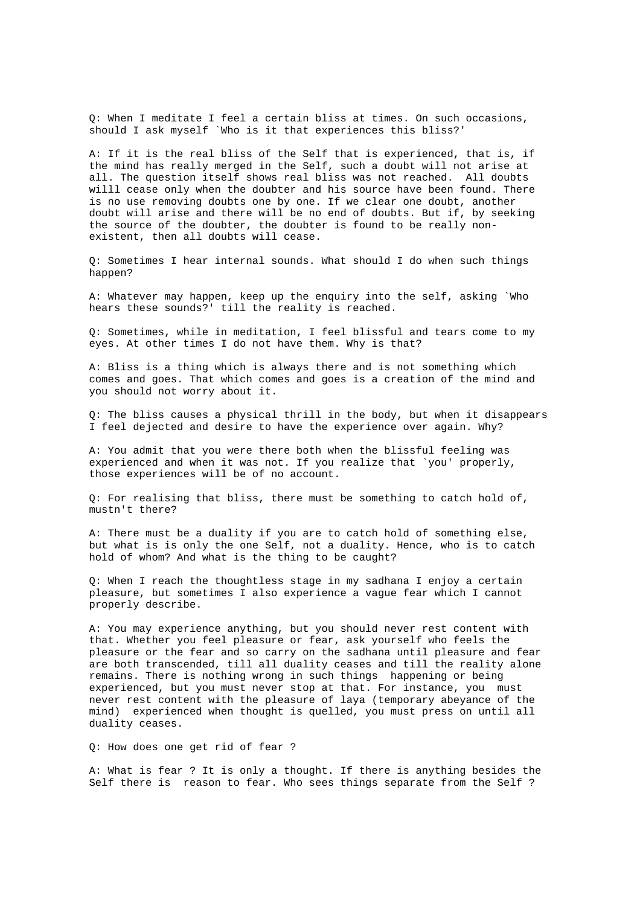Q: When I meditate I feel a certain bliss at times. On such occasions, should I ask myself `Who is it that experiences this bliss?'

A: If it is the real bliss of the Self that is experienced, that is, if the mind has really merged in the Self, such a doubt will not arise at all. The question itself shows real bliss was not reached. All doubts willl cease only when the doubter and his source have been found. There is no use removing doubts one by one. If we clear one doubt, another doubt will arise and there will be no end of doubts. But if, by seeking the source of the doubter, the doubter is found to be really nonexistent, then all doubts will cease.

Q: Sometimes I hear internal sounds. What should I do when such things happen?

A: Whatever may happen, keep up the enquiry into the self, asking `Who hears these sounds?' till the reality is reached.

Q: Sometimes, while in meditation, I feel blissful and tears come to my eyes. At other times I do not have them. Why is that?

A: Bliss is a thing which is always there and is not something which comes and goes. That which comes and goes is a creation of the mind and you should not worry about it.

Q: The bliss causes a physical thrill in the body, but when it disappears I feel dejected and desire to have the experience over again. Why?

A: You admit that you were there both when the blissful feeling was experienced and when it was not. If you realize that `you' properly, those experiences will be of no account.

Q: For realising that bliss, there must be something to catch hold of, mustn't there?

A: There must be a duality if you are to catch hold of something else, but what is is only the one Self, not a duality. Hence, who is to catch hold of whom? And what is the thing to be caught?

Q: When I reach the thoughtless stage in my sadhana I enjoy a certain pleasure, but sometimes I also experience a vague fear which I cannot properly describe.

A: You may experience anything, but you should never rest content with that. Whether you feel pleasure or fear, ask yourself who feels the pleasure or the fear and so carry on the sadhana until pleasure and fear are both transcended, till all duality ceases and till the reality alone remains. There is nothing wrong in such things happening or being experienced, but you must never stop at that. For instance, you must never rest content with the pleasure of laya (temporary abeyance of the mind) experienced when thought is quelled, you must press on until all duality ceases.

Q: How does one get rid of fear ?

A: What is fear ? It is only a thought. If there is anything besides the Self there is reason to fear. Who sees things separate from the Self ?